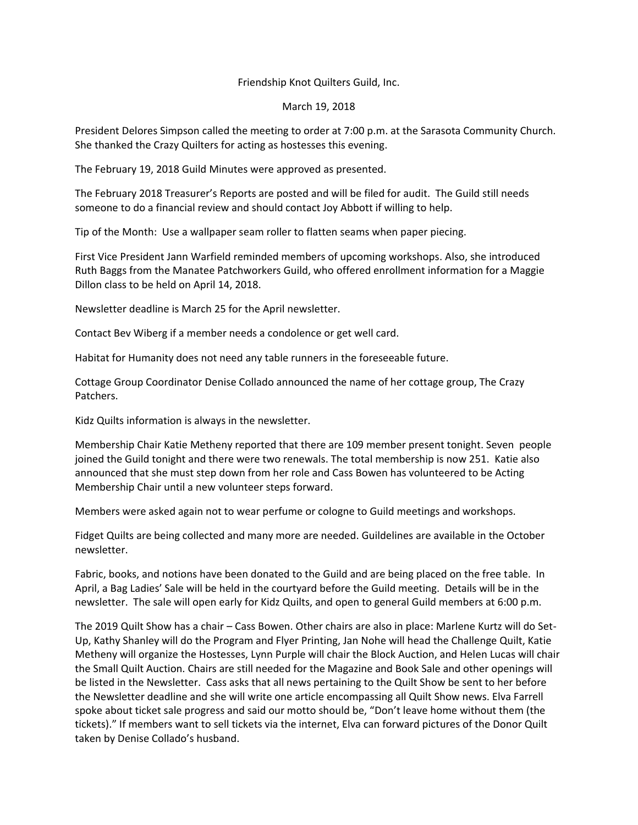## Friendship Knot Quilters Guild, Inc.

## March 19, 2018

President Delores Simpson called the meeting to order at 7:00 p.m. at the Sarasota Community Church. She thanked the Crazy Quilters for acting as hostesses this evening.

The February 19, 2018 Guild Minutes were approved as presented.

The February 2018 Treasurer's Reports are posted and will be filed for audit. The Guild still needs someone to do a financial review and should contact Joy Abbott if willing to help.

Tip of the Month: Use a wallpaper seam roller to flatten seams when paper piecing.

First Vice President Jann Warfield reminded members of upcoming workshops. Also, she introduced Ruth Baggs from the Manatee Patchworkers Guild, who offered enrollment information for a Maggie Dillon class to be held on April 14, 2018.

Newsletter deadline is March 25 for the April newsletter.

Contact Bev Wiberg if a member needs a condolence or get well card.

Habitat for Humanity does not need any table runners in the foreseeable future.

Cottage Group Coordinator Denise Collado announced the name of her cottage group, The Crazy Patchers.

Kidz Quilts information is always in the newsletter.

Membership Chair Katie Metheny reported that there are 109 member present tonight. Seven people joined the Guild tonight and there were two renewals. The total membership is now 251. Katie also announced that she must step down from her role and Cass Bowen has volunteered to be Acting Membership Chair until a new volunteer steps forward.

Members were asked again not to wear perfume or cologne to Guild meetings and workshops.

Fidget Quilts are being collected and many more are needed. Guildelines are available in the October newsletter.

Fabric, books, and notions have been donated to the Guild and are being placed on the free table. In April, a Bag Ladies' Sale will be held in the courtyard before the Guild meeting. Details will be in the newsletter. The sale will open early for Kidz Quilts, and open to general Guild members at 6:00 p.m.

The 2019 Quilt Show has a chair – Cass Bowen. Other chairs are also in place: Marlene Kurtz will do Set-Up, Kathy Shanley will do the Program and Flyer Printing, Jan Nohe will head the Challenge Quilt, Katie Metheny will organize the Hostesses, Lynn Purple will chair the Block Auction, and Helen Lucas will chair the Small Quilt Auction. Chairs are still needed for the Magazine and Book Sale and other openings will be listed in the Newsletter. Cass asks that all news pertaining to the Quilt Show be sent to her before the Newsletter deadline and she will write one article encompassing all Quilt Show news. Elva Farrell spoke about ticket sale progress and said our motto should be, "Don't leave home without them (the tickets)." If members want to sell tickets via the internet, Elva can forward pictures of the Donor Quilt taken by Denise Collado's husband.